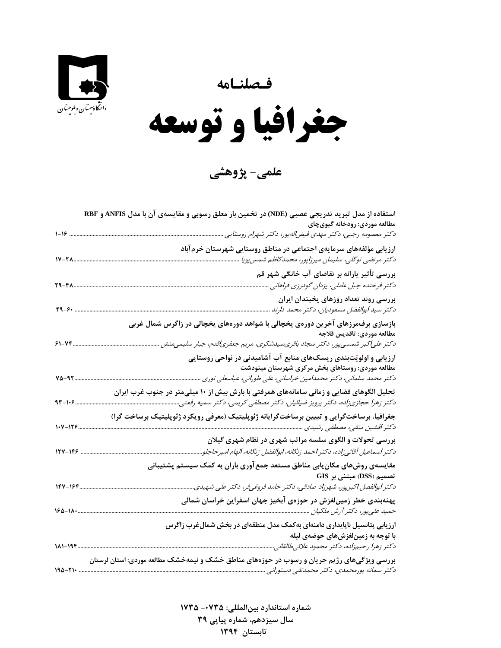**فـصلنـامه** 



 $\overline{\phantom{a}}$ **جغرافيا و توسعه** 

**علمي- پژوهشي**

|                | استفاده از مدل تبرید تدریجی عصبی (NDE) در تخمین بار معلق رسوبی و مقایسهی آن با مدل ANFIS و RBF                                                                                            |
|----------------|-------------------------------------------------------------------------------------------------------------------------------------------------------------------------------------------|
|                | مطالعه موردي: رودخانه گیويچای<br>دکتر معصومه رجبی، دکتر مهدی فیضاله پور، دکتر شهرام روستایی                                                                                               |
|                | ارزیابی مؤلفههای سرمایهی اجتماعی در مناطق روستایی شهرستان خرمآباد                                                                                                                         |
| 1V-TA          | دكتر مرتضى توكلى، سليمان ميرزاپور، محمدكاظم شمس پويا                                                                                                                                      |
| 39-48          | بررسی تأثیر پارانه بر تقاضای آب خانگی شهر قم<br>دکتر فرخنده جبل عاملی، یزدان گودرزی فراهانی                                                                                               |
| 49-G+          | بررسی روند تعداد روزهای یخبندان ایران<br>دكتر سيد ابوالفضل مسعوديان، دكتر محمد دارند                                                                                                      |
|                | بازسازی برفمرزهای آخرین دورهی یخچالی با شواهد دورههای یخچالی در زاگرس شمال غربی<br>مطالعه موردى: تاقديس قلاجه                                                                             |
| 74-18          | دکتر علی کبر شمسیپور، دکتر سجاد باقریسیدشکری، مریم جعفری قدم، جبار سلیمیمنش                                                                                                               |
| $V\Delta - 95$ | ارزیابی و اولویّتبندی ریسکهای منابع آب آشامیدنی در نواحی روستایی<br>مطالعه موردی: روستاهای بخش مرکزی شهرستان مینودشت<br>دکتر محمد سلمانی، دکتر محمدامین خراسانی، علی طورانی، عباسعلی نوری |
| 93-105         | تحلیل الگوهای فضایی و زمانی سامانههای همرفتی با بارش بیش از ۱۰ میلیمتر در جنوب غرب ایران<br>دکتر زهرا حجازی;اده، دکتر پرویز ضیائیان، دکتر مصطفی کریمی، دکتر سمیه رفعتی                    |
| 1.7-128        | جغرافیا، برساختگرایی و تبیین برساختگرایانه ژئوپلیتیک (معرفی رویکرد ژئوپلیتیک برساخت گرا)                                                                                                  |
|                | بررسی تحولات و الگوی سلسه مراتب شهری در نظام شهری گیلان                                                                                                                                   |
| $15V - 199$    | دكتر اسماعيل آقائي;اده، دكتر احمد زنگانه، ابوالفضل زنگانه، الهام اميرحاجلو                                                                                                                |
|                | مقایسهی روشهای مکان ِابی مناطق مستعد جمع آوری باران به کمک سیستم پشتیبانی<br>تصمیم (DSS) مبتنی بر GIS                                                                                     |
| ١٦٢-١٩٢        | دكتر ابوالفضل اكبرپور، شهرزاد صادقی، دكتر حامد فروغیفر، دكتر علی شهیدی.                                                                                                                   |
| $180 - 11$     | پهنهبندی خطر زمینلغزش در حوزهی آبخیز جهان اسفراین خراسان شمالی                                                                                                                            |
| 181-194        | ارزیابی پتانسیل ناپایداری دامنهای بهکمک مدل منطقهای در بخش شمال غرب زاگرس<br>با توجه به زمینلغزشهای حوضهی لیله<br>دكتر زهرا رحيمزاده، دكتر محمود علائيطالقاني                             |
|                | بررسی ویژگیهای رژیم جریان و رسوب در حوزههای مناطق خشک و نیمهخشک مطالعه موردی: استان لرستان<br>دكتر سمانه پورمحمدى، دكتر محمدتقى دستورانى                                                  |

 **شماره استاندارد بينالمللي: -0735 <sup>1735</sup> سال سيزدهم، شماره پياپي 39 تابستان 1394**